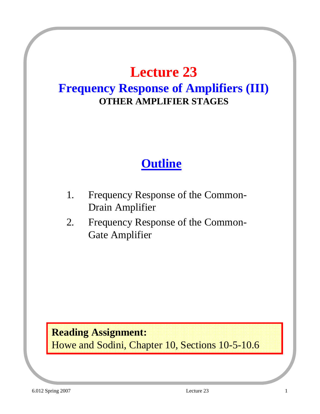### **Lecture 23**

### **Frequency Response of Amplifiers (III) OTHER AMPLIFIER STAGES**

### **Outline**

- 1. Frequency Response of the Common-Drain Amplifier
- 2. Frequency Response of the Common-Gate Amplifier

#### **Reading Assignment:**

Howe and Sodini, Chapter 10, Sections 10-5-10.6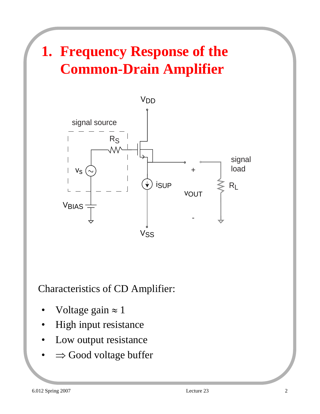# **1. Frequency Response of the Common-Drain Amplifier**



Characteristics of CD Amplifier:

- Voltage gain  $\approx 1$
- High input resistance
- Low output resistance
- $\Rightarrow$  Good voltage buffer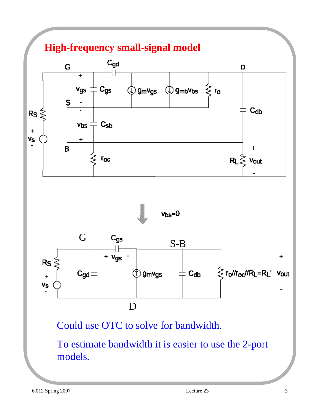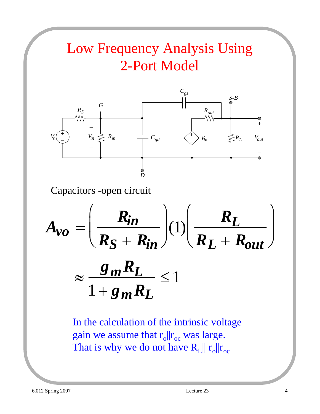# Low Frequency Analysis Using 2-Port Model



Capacitors -open circuit

$$
A_{vo} = \left(\frac{R_{in}}{R_S + R_{in}}\right)(1) \left(\frac{R_L}{R_L + R_{out}}\right)
$$

$$
\approx \frac{g_m R_L}{1 + g_m R_L} \le 1
$$

In the calculation of the intrinsic voltage gain we assume that  $r_0||r_{oc}$  was large. That is why we do not have  $R_L || r_o || r_{oc}$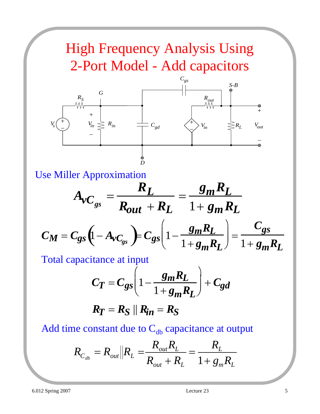# High Frequency Analysis Using 2-Port Model - Add capacitors



Use Miller Approximation

$$
A_{\nu C_{gs}} = \frac{R_L}{R_{out} + R_L} = \frac{g_m R_L}{1 + g_m R_L}
$$

$$
C_M = C_{gs} \left(1 - A_{\nu C_{gs}}\right) = C_{gs} \left(1 - \frac{g_m R_L}{1 + g_m R_L}\right) = \frac{C_{gs}}{1 + g_m R_L}
$$

Total capacitance at input

$$
C_T = C_{gs} \left( 1 - \frac{g_m R_L}{1 + g_m R_L} \right) + C_{gd}
$$

$$
R_T = R_S \parallel R_{in} = R_S
$$

Add time constant due to  $C_{db}$  capacitance at output

$$
R_{C_{db}} = R_{out} \| R_L = \frac{R_{out} R_L}{R_{out} + R_L} = \frac{R_L}{1 + g_m R_L}
$$

l

 $1+ g_m R_L$ 

 $1+ g_m R_L$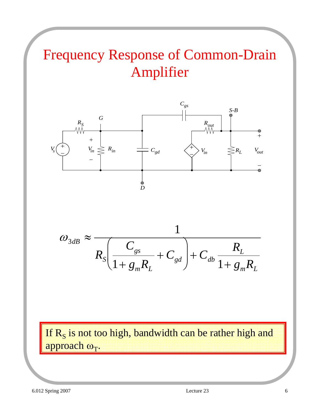# Frequency Response of Common-Drain Amplifier



$$
\omega_{3dB} \approx \frac{1}{R_s \left(\frac{C_{gs}}{1 + g_m R_L} + C_{gd}\right) + C_{db} \frac{R_L}{1 + g_m R_L}}
$$

If  $R<sub>S</sub>$  is not too high, bandwidth can be rather high and approach  $\omega_T$ .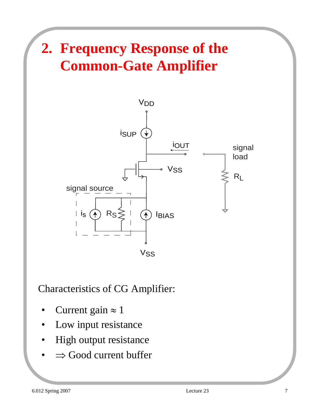# **2. Frequency Response of the Common-Gate Amplifier**



Characteristics of CG Amplifier:

- Current gain  $\approx 1$
- Low input resistance
- High output resistance
- $\Rightarrow$  Good current buffer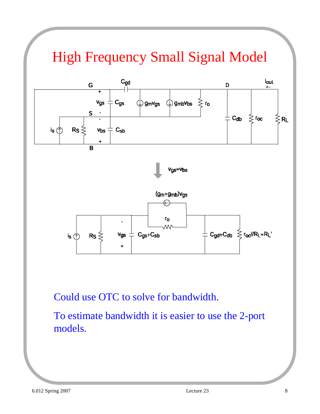# High Frequency Small Signal Model



Could use OTC to solve for bandwidth.

To estimate bandwidth it is easier to use the 2-port models.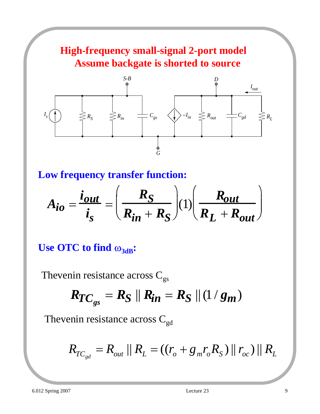### **High-frequency small-signal 2-port model Assume backgate is shorted to source**



**Low frequency transfer function:**

$$
A_{io} = \frac{i_{out}}{i_s} = \left(\frac{R_S}{R_{in} + R_S}\right)(1)\left(\frac{R_{out}}{R_L + R_{out}}\right)
$$

#### **Use OTC to find**  $ω_{3dB}$ **:**

Thevenin resistance across  $C_{gs}$ 

$$
R_{TC_{gs}} = R_S || R_{in} = R_S || (1/g_m)
$$

Thevenin resistance across  $C_{gd}$ 

$$
R_{TC_{gd}} = R_{out} || R_L = ((r_o + g_m r_o R_S) || r_{oc}) || R_L
$$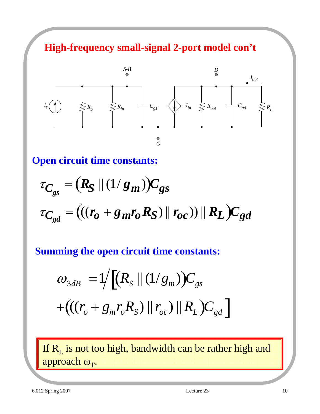**High-frequency small-signal 2-port model con't**



#### **Open circuit time constants:**

$$
\tau_{C_{gs}} = (R_S || (1/g_m))C_{gs}
$$
  

$$
\tau_{C_{gd}} = (((r_o + g_m r_o R_S) || r_{oc})) || R_L)C_{gd}
$$

 $\overline{\phantom{a}}$ **Summing the open circuit time constants:**

$$
\omega_{3dB} = 1/[(R_{S} || (1/g_{m}))C_{gs}
$$
  
+ $((r_{o} + g_{m}r_{o}R_{S}) || r_{oc}) || R_{L})C_{gd}]$ 

If  $R_L$  is not too high, bandwidth can be rather high and approach  $\omega_T$ .

6.012 Spring 2007 Lecture 23 10

 $\overline{a}$